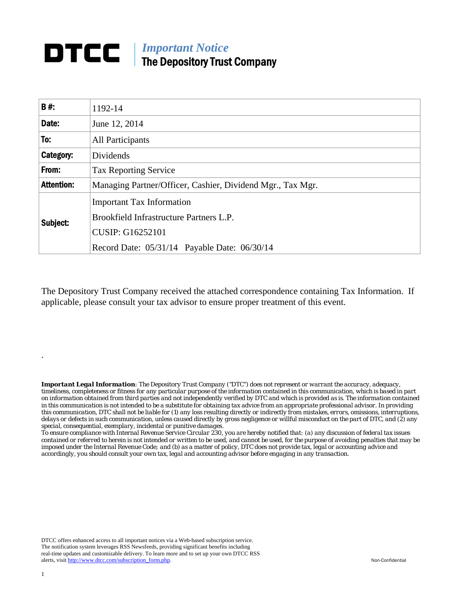## *Important Notice*  The Depository Trust Company

| <b>B#:</b>        | 1192-14                                                                                                                                                |  |  |
|-------------------|--------------------------------------------------------------------------------------------------------------------------------------------------------|--|--|
| Date:             | June 12, 2014                                                                                                                                          |  |  |
| To:               | <b>All Participants</b>                                                                                                                                |  |  |
| Category:         | Dividends                                                                                                                                              |  |  |
| From:             | <b>Tax Reporting Service</b>                                                                                                                           |  |  |
| <b>Attention:</b> | Managing Partner/Officer, Cashier, Dividend Mgr., Tax Mgr.                                                                                             |  |  |
| Subject:          | <b>Important Tax Information</b><br>Brookfield Infrastructure Partners L.P.<br><b>CUSIP: G16252101</b><br>Record Date: 05/31/14 Payable Date: 06/30/14 |  |  |

The Depository Trust Company received the attached correspondence containing Tax Information. If applicable, please consult your tax advisor to ensure proper treatment of this event.

*Important Legal Information: The Depository Trust Company ("DTC") does not represent or warrant the accuracy, adequacy, timeliness, completeness or fitness for any particular purpose of the information contained in this communication, which is based in part on information obtained from third parties and not independently verified by DTC and which is provided as is. The information contained in this communication is not intended to be a substitute for obtaining tax advice from an appropriate professional advisor. In providing this communication, DTC shall not be liable for (1) any loss resulting directly or indirectly from mistakes, errors, omissions, interruptions, delays or defects in such communication, unless caused directly by gross negligence or willful misconduct on the part of DTC, and (2) any special, consequential, exemplary, incidental or punitive damages.* 

*To ensure compliance with Internal Revenue Service Circular 230, you are hereby notified that: (a) any discussion of federal tax issues contained or referred to herein is not intended or written to be used, and cannot be used, for the purpose of avoiding penalties that may be imposed under the Internal Revenue Code; and (b) as a matter of policy, DTC does not provide tax, legal or accounting advice and accordingly, you should consult your own tax, legal and accounting advisor before engaging in any transaction.*

DTCC offers enhanced access to all important notices via a Web-based subscription service. The notification system leverages RSS Newsfeeds, providing significant benefits including real-time updates and customizable delivery. To learn more and to set up your own DTCC RSS alerts, visit http://www.dtcc.com/subscription\_form.php. Non-Confidential

.